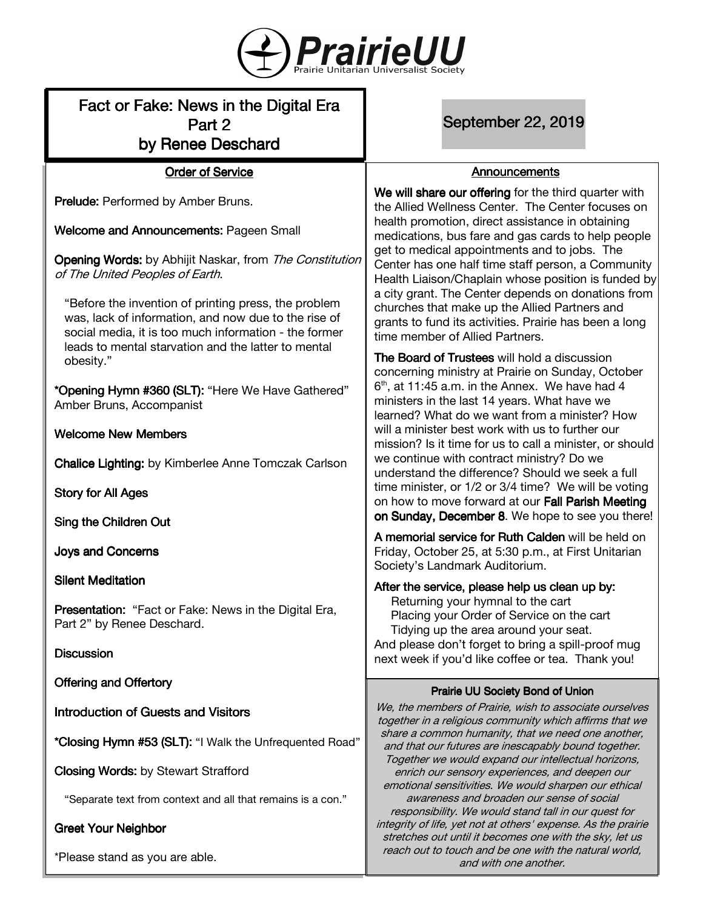

# Fact or Fake: News in the Digital Era Part 2 by Renee Deschard

**Order of Service** 

Prelude: Performed by Amber Bruns.

Welcome and Announcements: Pageen Small

Opening Words: by Abhijit Naskar, from The Constitution of The United Peoples of Earth.

"Before the invention of printing press, the problem was, lack of information, and now due to the rise of social media, it is too much information - the former leads to mental starvation and the latter to mental obesity."

\*Opening Hymn #360 (SLT): "Here We Have Gathered" Amber Bruns, Accompanist

#### Welcome New Members

**Chalice Lighting:** by Kimberlee Anne Tomczak Carlson

Story for All Ages

Sing the Children Out

**Joys and Concerns** 

**Silent Meditation** 

Presentation: "Fact or Fake: News in the Digital Era, Part 2" by Renee Deschard.

**Discussion** 

Offering and Offertory

Introduction of Guests and Visitors

\*Closing Hymn #53 (SLT): "I Walk the Unfrequented Road"

**Closing Words:** by Stewart Strafford

"Separate text from context and all that remains is a con."

**Greet Your Neighbor** 

\*Please stand as you are able.

September 22, 2019

#### Announcements

We will share our offering for the third quarter with the Allied Wellness Center. The Center focuses on health promotion, direct assistance in obtaining medications, bus fare and gas cards to help people get to medical appointments and to jobs. The Center has one half time staff person, a Community Health Liaison/Chaplain whose position is funded by a city grant. The Center depends on donations from churches that make up the Allied Partners and grants to fund its activities. Prairie has been a long time member of Allied Partners.

The Board of Trustees will hold a discussion concerning ministry at Prairie on Sunday, October  $6<sup>th</sup>$ , at 11:45 a.m. in the Annex. We have had 4 ministers in the last 14 years. What have we learned? What do we want from a minister? How will a minister best work with us to further our mission? Is it time for us to call a minister, or should we continue with contract ministry? Do we understand the difference? Should we seek a full time minister, or 1/2 or 3/4 time? We will be voting on how to move forward at our Fall Parish Meeting on Sunday, December 8. We hope to see you there!

A memorial service for Ruth Calden will be held on Friday, October 25, at 5:30 p.m., at First Unitarian Society's Landmark Auditorium.

After the service, please help us clean up by: Returning your hymnal to the cart Placing your Order of Service on the cart Tidying up the area around your seat. And please don't forget to bring a spill-proof mug next week if you'd like coffee or tea. Thank you!

## Prairie UU Society Bond of Union

We, the members of Prairie, wish to associate ourselves together in a religious community which affirms that we share a common humanity, that we need one another, and that our futures are inescapably bound together. Together we would expand our intellectual horizons, enrich our sensory experiences, and deepen our emotional sensitivities. We would sharpen our ethical awareness and broaden our sense of social responsibility. We would stand tall in our quest for integrity of life, yet not at others' expense. As the prairie stretches out until it becomes one with the sky, let us reach out to touch and be one with the natural world, and with one another.